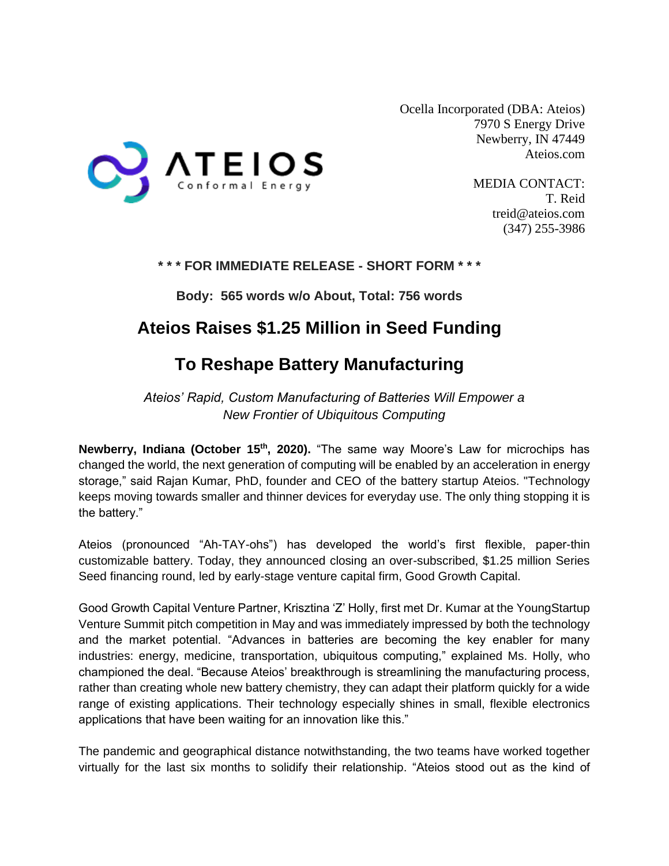

Ocella Incorporated (DBA: Ateios) 7970 S Energy Drive Newberry, IN 47449 Ateios.com

> MEDIA CONTACT: T. Reid treid@ateios.com (347) 255-3986

### **\* \* \* FOR IMMEDIATE RELEASE - SHORT FORM \* \* \***

**Body: 565 words w/o About, Total: 756 words**

## **Ateios Raises \$1.25 Million in Seed Funding**

# **To Reshape Battery Manufacturing**

*Ateios' Rapid, Custom Manufacturing of Batteries Will Empower a New Frontier of Ubiquitous Computing*

**Newberry, Indiana (October 15th, 2020).** "The same way Moore's Law for microchips has changed the world, the next generation of computing will be enabled by an acceleration in energy storage," said Rajan Kumar, PhD, founder and CEO of the battery startup Ateios. "Technology keeps moving towards smaller and thinner devices for everyday use. The only thing stopping it is the battery."

Ateios (pronounced "Ah-TAY-ohs") has developed the world's first flexible, paper-thin customizable battery. Today, they announced closing an over-subscribed, \$1.25 million Series Seed financing round, led by early-stage venture capital firm, Good Growth Capital.

Good Growth Capital Venture Partner, Krisztina 'Z' Holly, first met Dr. Kumar at the YoungStartup Venture Summit pitch competition in May and was immediately impressed by both the technology and the market potential. "Advances in batteries are becoming the key enabler for many industries: energy, medicine, transportation, ubiquitous computing," explained Ms. Holly, who championed the deal. "Because Ateios' breakthrough is streamlining the manufacturing process, rather than creating whole new battery chemistry, they can adapt their platform quickly for a wide range of existing applications. Their technology especially shines in small, flexible electronics applications that have been waiting for an innovation like this."

The pandemic and geographical distance notwithstanding, the two teams have worked together virtually for the last six months to solidify their relationship. "Ateios stood out as the kind of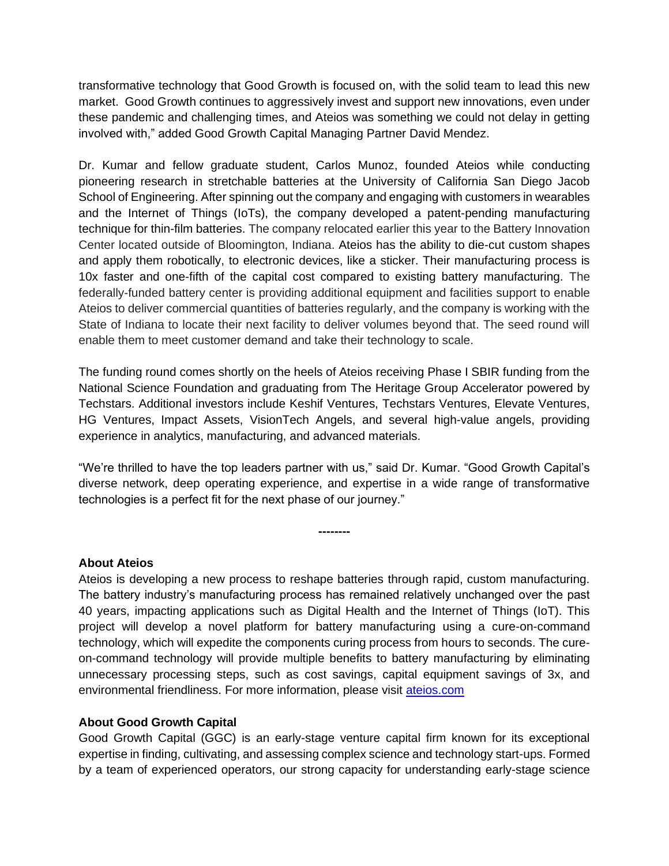transformative technology that Good Growth is focused on, with the solid team to lead this new market. Good Growth continues to aggressively invest and support new innovations, even under these pandemic and challenging times, and Ateios was something we could not delay in getting involved with," added Good Growth Capital Managing Partner David Mendez.

Dr. Kumar and fellow graduate student, Carlos Munoz, founded Ateios while conducting pioneering research in stretchable batteries at the University of California San Diego Jacob School of Engineering. After spinning out the company and engaging with customers in wearables and the Internet of Things (IoTs), the company developed a patent-pending manufacturing technique for thin-film batteries. The company relocated earlier this year to the Battery Innovation Center located outside of Bloomington, Indiana. Ateios has the ability to die-cut custom shapes and apply them robotically, to electronic devices, like a sticker. Their manufacturing process is 10x faster and one-fifth of the capital cost compared to existing battery manufacturing. The federally-funded battery center is providing additional equipment and facilities support to enable Ateios to deliver commercial quantities of batteries regularly, and the company is working with the State of Indiana to locate their next facility to deliver volumes beyond that. The seed round will enable them to meet customer demand and take their technology to scale.

The funding round comes shortly on the heels of Ateios receiving Phase I SBIR funding from the National Science Foundation and graduating from The Heritage Group Accelerator powered by Techstars. Additional investors include Keshif Ventures, Techstars Ventures, Elevate Ventures, HG Ventures, Impact Assets, VisionTech Angels, and several high-value angels, providing experience in analytics, manufacturing, and advanced materials.

"We're thrilled to have the top leaders partner with us," said Dr. Kumar. "Good Growth Capital's diverse network, deep operating experience, and expertise in a wide range of transformative technologies is a perfect fit for the next phase of our journey."

**--------**

### **About Ateios**

Ateios is developing a new process to reshape batteries through rapid, custom manufacturing. The battery industry's manufacturing process has remained relatively unchanged over the past 40 years, impacting applications such as Digital Health and the Internet of Things (IoT). This project will develop a novel platform for battery manufacturing using a cure-on-command technology, which will expedite the components curing process from hours to seconds. The cureon-command technology will provide multiple benefits to battery manufacturing by eliminating unnecessary processing steps, such as cost savings, capital equipment savings of 3x, and environmental friendliness. For more information, please visit [ateios.com](http://www.ateios.com/)

### **About Good Growth Capital**

Good Growth Capital (GGC) is an early-stage venture capital firm known for its exceptional expertise in finding, cultivating, and assessing complex science and technology start-ups. Formed by a team of experienced operators, our strong capacity for understanding early-stage science